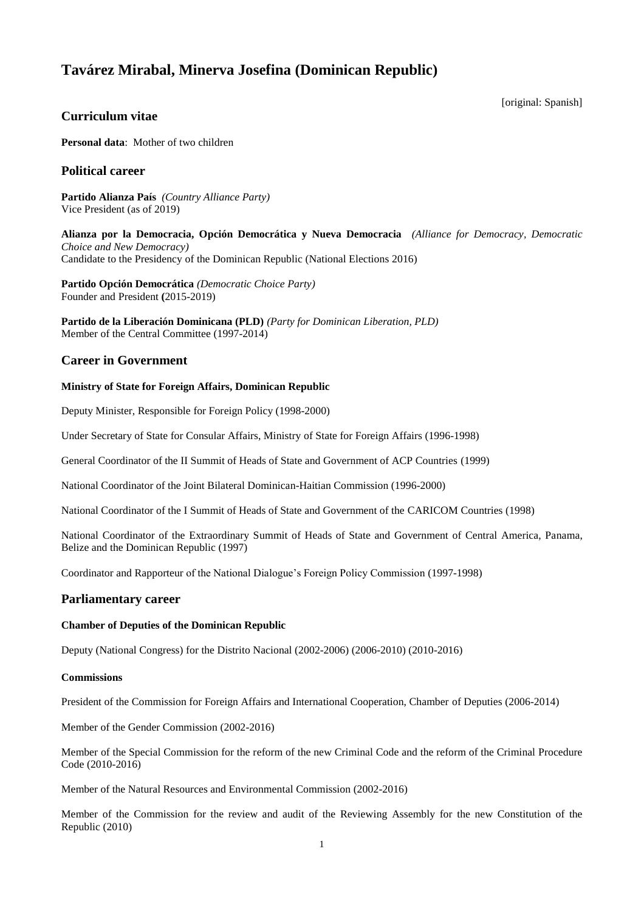# **Tavárez Mirabal, Minerva Josefina (Dominican Republic)**

[original: Spanish]

# **Curriculum vitae**

**Personal data**: Mother of two children

## **Political career**

**Partido Alianza País** *(Country Alliance Party)* Vice President (as of 2019)

**Alianza por la Democracia, Opción Democrática y Nueva Democracia** *(Alliance for Democracy, Democratic Choice and New Democracy)* Candidate to the Presidency of the Dominican Republic (National Elections 2016)

**Partido Opción Democrática** *(Democratic Choice Party)* Founder and President **(**2015-2019)

**Partido de la Liberación Dominicana (PLD)** *(Party for Dominican Liberation, PLD)* Member of the Central Committee (1997-2014)

## **Career in Government**

### **Ministry of State for Foreign Affairs, Dominican Republic**

Deputy Minister, Responsible for Foreign Policy (1998-2000)

Under Secretary of State for Consular Affairs, Ministry of State for Foreign Affairs (1996-1998)

General Coordinator of the II Summit of Heads of State and Government of ACP Countries (1999)

National Coordinator of the Joint Bilateral Dominican-Haitian Commission (1996-2000)

National Coordinator of the I Summit of Heads of State and Government of the CARICOM Countries (1998)

National Coordinator of the Extraordinary Summit of Heads of State and Government of Central America, Panama, Belize and the Dominican Republic (1997)

Coordinator and Rapporteur of the National Dialogue's Foreign Policy Commission (1997-1998)

## **Parliamentary career**

#### **Chamber of Deputies of the Dominican Republic**

Deputy (National Congress) for the Distrito Nacional (2002-2006) (2006-2010) (2010-2016)

#### **Commissions**

President of the Commission for Foreign Affairs and International Cooperation, Chamber of Deputies (2006-2014)

Member of the Gender Commission (2002-2016)

Member of the Special Commission for the reform of the new Criminal Code and the reform of the Criminal Procedure Code (2010-2016)

Member of the Natural Resources and Environmental Commission (2002-2016)

Member of the Commission for the review and audit of the Reviewing Assembly for the new Constitution of the Republic (2010)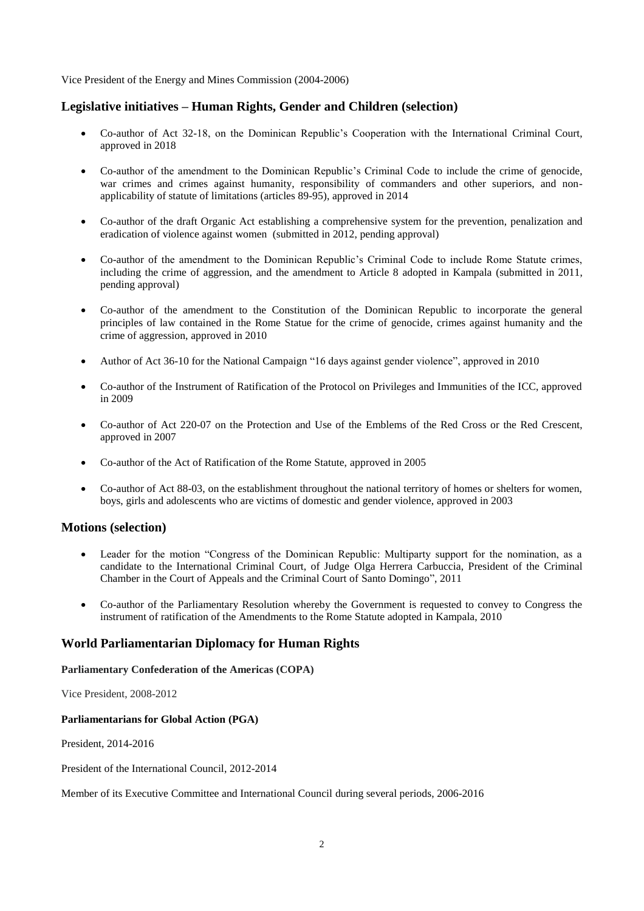Vice President of the Energy and Mines Commission (2004-2006)

# **Legislative initiatives – Human Rights, Gender and Children (selection)**

- Co-author of Act 32-18, on the Dominican Republic's Cooperation with the International Criminal Court, approved in 2018
- Co-author of the amendment to the Dominican Republic's Criminal Code to include the crime of genocide, war crimes and crimes against humanity, responsibility of commanders and other superiors, and nonapplicability of statute of limitations (articles 89-95), approved in 2014
- Co-author of the draft Organic Act establishing a comprehensive system for the prevention, penalization and eradication of violence against women (submitted in 2012, pending approval)
- Co-author of the amendment to the Dominican Republic's Criminal Code to include Rome Statute crimes, including the crime of aggression, and the amendment to Article 8 adopted in Kampala (submitted in 2011, pending approval)
- Co-author of the amendment to the Constitution of the Dominican Republic to incorporate the general principles of law contained in the Rome Statue for the crime of genocide, crimes against humanity and the crime of aggression, approved in 2010
- Author of Act 36-10 for the National Campaign "16 days against gender violence", approved in 2010
- Co-author of the Instrument of Ratification of the Protocol on Privileges and Immunities of the ICC, approved in 2009
- Co-author of Act 220-07 on the Protection and Use of the Emblems of the Red Cross or the Red Crescent, approved in 2007
- Co-author of the Act of Ratification of the Rome Statute, approved in 2005
- Co-author of Act 88-03, on the establishment throughout the national territory of homes or shelters for women, boys, girls and adolescents who are victims of domestic and gender violence, approved in 2003

## **Motions (selection)**

- Leader for the motion "Congress of the Dominican Republic: Multiparty support for the nomination, as a candidate to the International Criminal Court, of Judge Olga Herrera Carbuccia, President of the Criminal Chamber in the Court of Appeals and the Criminal Court of Santo Domingo", 2011
- Co-author of the Parliamentary Resolution whereby the Government is requested to convey to Congress the instrument of ratification of the Amendments to the Rome Statute adopted in Kampala, 2010

## **World Parliamentarian Diplomacy for Human Rights**

#### **Parliamentary Confederation of the Americas (COPA)**

Vice President, 2008-2012

#### **Parliamentarians for Global Action (PGA)**

President, 2014-2016

President of the International Council, 2012-2014

Member of its Executive Committee and International Council during several periods, 2006-2016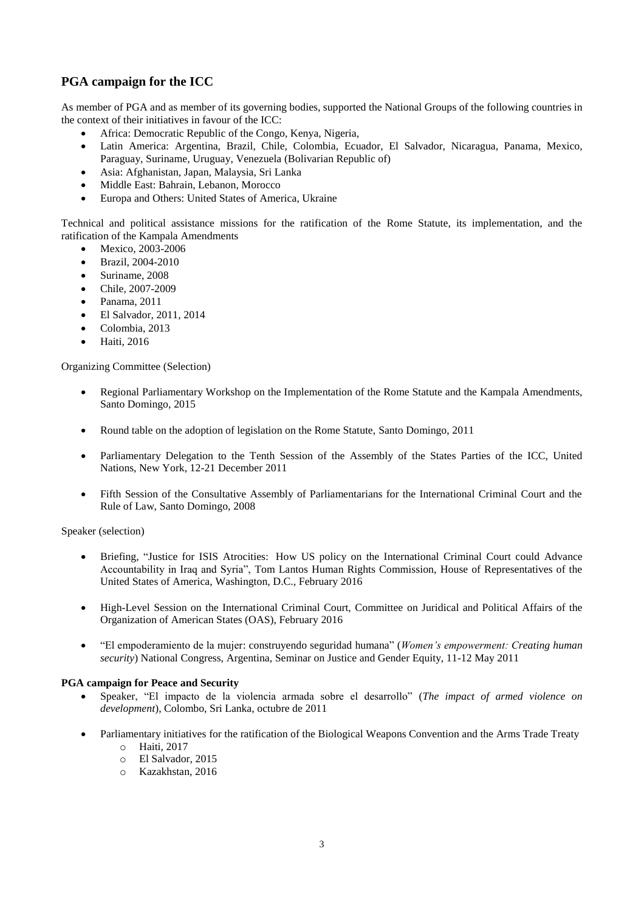# **PGA campaign for the ICC**

As member of PGA and as member of its governing bodies, supported the National Groups of the following countries in the context of their initiatives in favour of the ICC:

- Africa: Democratic Republic of the Congo, Kenya, Nigeria,
- Latin America: Argentina, Brazil, Chile, Colombia, Ecuador, El Salvador, Nicaragua, Panama, Mexico, Paraguay, Suriname, Uruguay, Venezuela (Bolivarian Republic of)
- Asia: Afghanistan, Japan, Malaysia, Sri Lanka
- Middle East: Bahrain, Lebanon, Morocco
- Europa and Others: United States of America, Ukraine

Technical and political assistance missions for the ratification of the Rome Statute, its implementation, and the ratification of the Kampala Amendments

- Mexico, 2003-2006
- Brazil, 2004-2010
- Suriname, 2008
- Chile, 2007-2009
- **•** Panama, 2011
- El Salvador, 2011, 2014
- Colombia, 2013
- **•** Haiti, 2016

Organizing Committee (Selection)

- Regional Parliamentary Workshop on the Implementation of the Rome Statute and the Kampala Amendments, Santo Domingo, 2015
- Round table on the adoption of legislation on the Rome Statute, Santo Domingo, 2011
- Parliamentary Delegation to the Tenth Session of the Assembly of the States Parties of the ICC, United Nations, New York, 12-21 December 2011
- Fifth Session of the Consultative Assembly of Parliamentarians for the International Criminal Court and the Rule of Law, Santo Domingo, 2008

Speaker (selection)

- Briefing, "Justice for ISIS Atrocities: How US policy on the International Criminal Court could Advance Accountability in Iraq and Syria", Tom Lantos Human Rights Commission, House of Representatives of the United States of America, Washington, D.C., February 2016
- High-Level Session on the International Criminal Court, Committee on Juridical and Political Affairs of the Organization of American States (OAS), February 2016
- "El empoderamiento de la mujer: construyendo seguridad humana" (*Women's empowerment: Creating human security*) National Congress, Argentina, Seminar on Justice and Gender Equity, 11-12 May 2011

#### **PGA campaign for Peace and Security**

- Speaker, "El impacto de la violencia armada sobre el desarrollo" (*The impact of armed violence on development*), Colombo, Sri Lanka, octubre de 2011
- Parliamentary initiatives for the ratification of the Biological Weapons Convention and the Arms Trade Treaty
	- o Haiti, 2017
	- o El Salvador, 2015
	- o Kazakhstan, 2016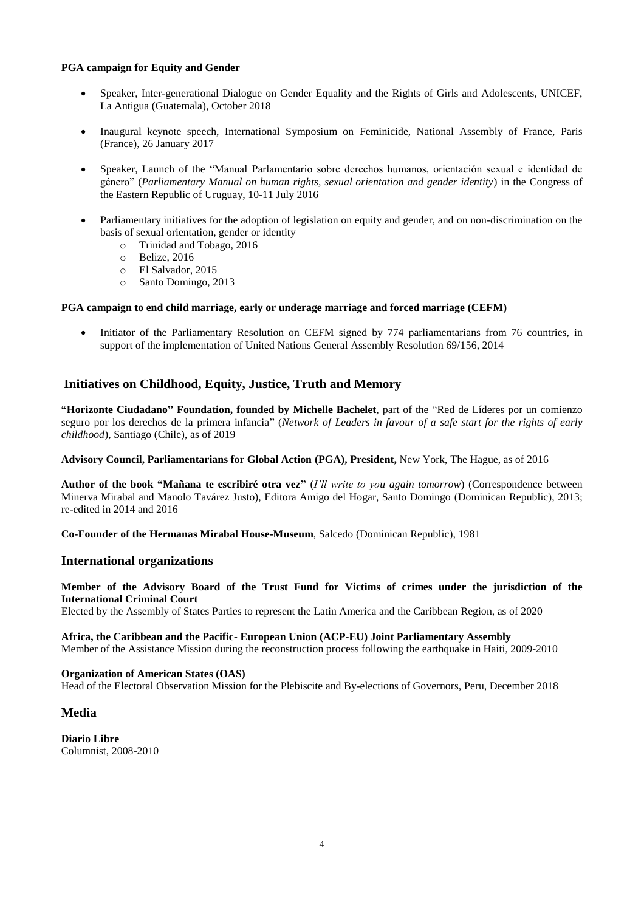#### **PGA campaign for Equity and Gender**

- Speaker, Inter-generational Dialogue on Gender Equality and the Rights of Girls and Adolescents, UNICEF, La Antigua (Guatemala), October 2018
- Inaugural keynote speech, International Symposium on Feminicide, National Assembly of France, Paris (France), 26 January 2017
- Speaker, Launch of the "Manual Parlamentario sobre derechos humanos, orientación sexual e identidad de género" (*Parliamentary Manual on human rights, sexual orientation and gender identity*) in the Congress of the Eastern Republic of Uruguay, 10-11 July 2016
- Parliamentary initiatives for the adoption of legislation on equity and gender, and on non-discrimination on the basis of sexual orientation, gender or identity
	- o Trinidad and Tobago, 2016
	- o Belize, 2016
	- o El Salvador, 2015
	- o Santo Domingo, 2013

#### **PGA campaign to end child marriage, early or underage marriage and forced marriage (CEFM)**

 Initiator of the Parliamentary Resolution on CEFM signed by 774 parliamentarians from 76 countries, in support of the implementation of United Nations General Assembly Resolution 69/156, 2014

# **Initiatives on Childhood, Equity, Justice, Truth and Memory**

**"Horizonte Ciudadano" Foundation, founded by Michelle Bachelet**, part of the "Red de Líderes por un comienzo seguro por los derechos de la primera infancia" (*Network of Leaders in favour of a safe start for the rights of early childhood*), Santiago (Chile), as of 2019

#### **Advisory Council, Parliamentarians for Global Action (PGA), President,** New York, The Hague, as of 2016

**Author of the book "Mañana te escribiré otra vez"** (*I'll write to you again tomorrow*) (Correspondence between Minerva Mirabal and Manolo Tavárez Justo), Editora Amigo del Hogar, Santo Domingo (Dominican Republic), 2013; re-edited in 2014 and 2016

**Co-Founder of the Hermanas Mirabal House-Museum**, Salcedo (Dominican Republic), 1981

#### **International organizations**

**Member of the Advisory Board of the Trust Fund for Victims of crimes under the jurisdiction of the International Criminal Court**

Elected by the Assembly of States Parties to represent the Latin America and the Caribbean Region, as of 2020

#### **Africa, the Caribbean and the Pacific- European Union (ACP-EU) Joint Parliamentary Assembly** Member of the Assistance Mission during the reconstruction process following the earthquake in Haiti, 2009-2010

#### **Organization of American States (OAS)**

Head of the Electoral Observation Mission for the Plebiscite and By-elections of Governors, Peru, December 2018

#### **Media**

**Diario Libre** Columnist, 2008-2010